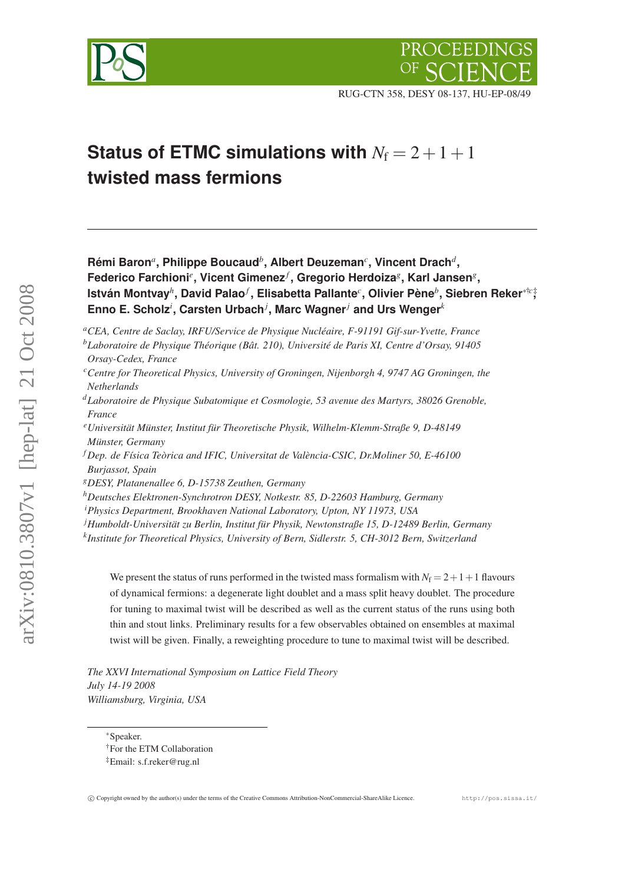



RUG-CTN 358, DESY 08-137, HU-EP-08/49

# **Status of ETMC simulations with**  $N_f = 2 + 1 + 1$ **twisted mass fermions**

**Rémi Baron***<sup>a</sup>* **, Philippe Boucaud***<sup>b</sup>* **, Albert Deuzeman***<sup>c</sup>* **, Vincent Drach***<sup>d</sup>* **,**  $F$ ederico Farchioni $^e$ , Vicent Gimenez $^f$ , Gregorio Herdoiza $^g$ , Karl Jansen $^g$ , **István Montvay***<sup>h</sup>* **, David Palao***<sup>f</sup>* **, Elisabetta Pallante***<sup>c</sup>* **, Olivier Pène***<sup>b</sup>* **, Siebren Reker**∗†*c*‡ **, Enno E. Scholz***<sup>i</sup>* **, Carsten Urbach***<sup>j</sup>* **, Marc Wagner***<sup>j</sup>* **and Urs Wenger***<sup>k</sup>*

*<sup>a</sup>CEA, Centre de Saclay, IRFU/Service de Physique Nucléaire, F-91191 Gif-sur-Yvette, France*

- *<sup>c</sup>Centre for Theoretical Physics, University of Groningen, Nijenborgh 4, 9747 AG Groningen, the Netherlands*
- *<sup>d</sup>Laboratoire de Physique Subatomique et Cosmologie, 53 avenue des Martyrs, 38026 Grenoble, France*
- *<sup>e</sup>Universität Münster, Institut für Theoretische Physik, Wilhelm-Klemm-Straße 9, D-48149 Münster, Germany*
- *<sup>f</sup> Dep. de Física Teòrica and IFIC, Universitat de València-CSIC, Dr.Moliner 50, E-46100 Burjassot, Spain*
- *<sup>g</sup>DESY, Platanenallee 6, D-15738 Zeuthen, Germany*
- *<sup>h</sup>Deutsches Elektronen-Synchrotron DESY, Notkestr. 85, D-22603 Hamburg, Germany*
- *<sup>i</sup>Physics Department, Brookhaven National Laboratory, Upton, NY 11973, USA*
- *<sup>j</sup>Humboldt-Universität zu Berlin, Institut für Physik, Newtonstraße 15, D-12489 Berlin, Germany*
- *k Institute for Theoretical Physics, University of Bern, Sidlerstr. 5, CH-3012 Bern, Switzerland*

We present the status of runs performed in the twisted mass formalism with  $N_f = 2+1+1$  flavours of dynamical fermions: a degenerate light doublet and a mass split heavy doublet. The procedure for tuning to maximal twist will be described as well as the current status of the runs using both thin and stout links. Preliminary results for a few observables obtained on ensembles at maximal twist will be given. Finally, a reweighting procedure to tune to maximal twist will be described.

*The XXVI International Symposium on Lattice Field Theory July 14-19 2008 Williamsburg, Virginia, USA*

<sup>∗</sup>Speaker.

*<sup>b</sup>Laboratoire de Physique Théorique (Bât. 210), Université de Paris XI, Centre d'Orsay, 91405 Orsay-Cedex, France*

<sup>†</sup>For the ETM Collaboration

<sup>‡</sup>Email: s.f.reker@rug.nl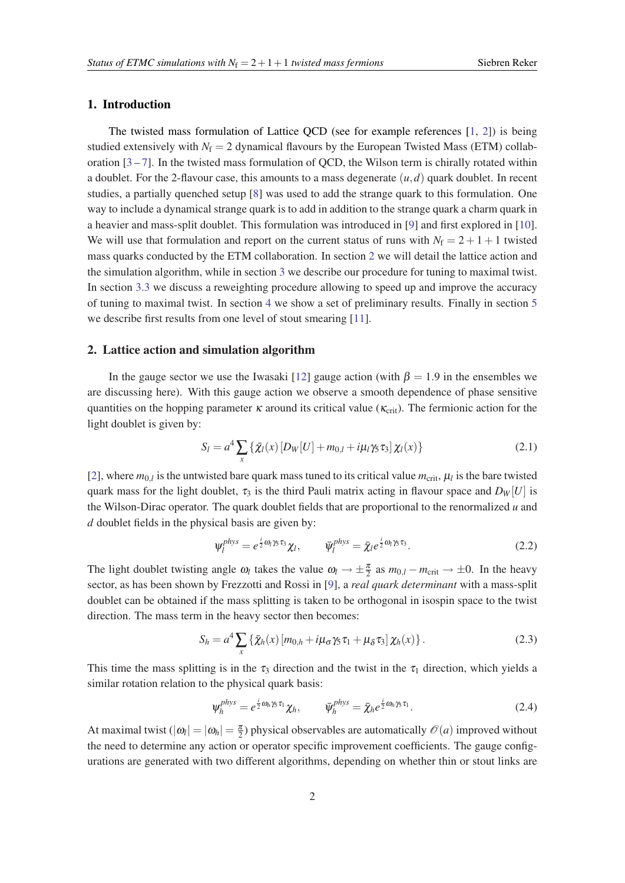## 1. Introduction

The twisted mass formulation of Lattice QCD (see for example references [\[1,](#page-6-0) [2](#page-6-0)]) is being studied extensively with  $N_f = 2$  dynamical flavours by the European Twisted Mass (ETM) collaboration  $[3 - 7]$  $[3 - 7]$  $[3 - 7]$  $[3 - 7]$ . In the twisted mass formulation of QCD, the Wilson term is chirally rotated within a doublet. For the 2-flavour case, this amounts to a mass degenerate  $(u, d)$  quark doublet. In recent studies, a partially quenched setup [\[8\]](#page-6-0) was used to add the strange quark to this formulation. One way to include a dynamical strange quark is to add in addition to the strange quark a charm quark in a heavier and mass-split doublet. This formulation was introduced in [\[9\]](#page-6-0) and first explored in [[10\]](#page-6-0). We will use that formulation and report on the current status of runs with  $N_f = 2 + 1 + 1$  twisted mass quarks conducted by the ETM collaboration. In section 2 we will detail the lattice action and the simulation algorithm, while in section [3](#page-2-0) we describe our procedure for tuning to maximal twist. In section [3.3](#page-3-0) we discuss a reweighting procedure allowing to speed up and improve the accuracy of tuning to maximal twist. In section [4](#page-4-0) we show a set of preliminary results. Finally in section [5](#page-5-0) we describe first results from one level of stout smearing [[11\]](#page-6-0).

## 2. Lattice action and simulation algorithm

In the gauge sector we use the Iwasaki [\[12](#page-6-0)] gauge action (with  $\beta = 1.9$  in the ensembles we are discussing here). With this gauge action we observe a smooth dependence of phase sensitive quantities on the hopping parameter  $\kappa$  around its critical value ( $\kappa_{\rm crit}$ ). The fermionic action for the light doublet is given by:

$$
S_l = a^4 \sum_{x} {\{\bar{\chi}_l(x) \left[ D_W[U] + m_{0,l} + i\mu_l \gamma_5 \tau_3 \right] \chi_l(x) } }
$$
(2.1)

[[2](#page-6-0)], where  $m_{0,l}$  is the untwisted bare quark mass tuned to its critical value  $m_{\text{crit}}$ ,  $\mu_l$  is the bare twisted quark mass for the light doublet,  $\tau_3$  is the third Pauli matrix acting in flavour space and  $D_W[U]$  is the Wilson-Dirac operator. The quark doublet fields that are proportional to the renormalized *u* and *d* doublet fields in the physical basis are given by:

$$
\Psi_l^{phys} = e^{\frac{i}{2}\omega_l\gamma_5\tau_3}\chi_l, \qquad \bar{\Psi}_l^{phys} = \bar{\chi}_l e^{\frac{i}{2}\omega_l\gamma_5\tau_3}.
$$
 (2.2)

The light doublet twisting angle  $\omega_l$  takes the value  $\omega_l \to \pm \frac{\pi}{2}$  as  $m_{0,l} - m_{\text{crit}} \to \pm 0$ . In the heavy sector, as has been shown by Frezzotti and Rossi in [[9](#page-6-0)], a *real quark determinant* with a mass-split doublet can be obtained if the mass splitting is taken to be orthogonal in isospin space to the twist direction. The mass term in the heavy sector then becomes:

$$
S_h = a^4 \sum_x \left\{ \bar{\chi}_h(x) \left[ m_{0,h} + i \mu_\sigma \gamma_5 \tau_1 + \mu_\delta \tau_3 \right] \chi_h(x) \right\}.
$$
 (2.3)

This time the mass splitting is in the  $\tau_3$  direction and the twist in the  $\tau_1$  direction, which yields a similar rotation relation to the physical quark basis:

$$
\Psi_h^{phys} = e^{\frac{i}{2}\omega_h\gamma_5\tau_1}\chi_h, \qquad \bar{\Psi}_h^{phys} = \bar{\chi}_h e^{\frac{i}{2}\omega_h\gamma_5\tau_1}.
$$
 (2.4)

At maximal twist  $(|\omega_l| = |\omega_h| = \frac{\pi}{2})$  physical observables are automatically  $\mathcal{O}(a)$  improved without the need to determine any action or operator specific improvement coefficients. The gauge configurations are generated with two different algorithms, depending on whether thin or stout links are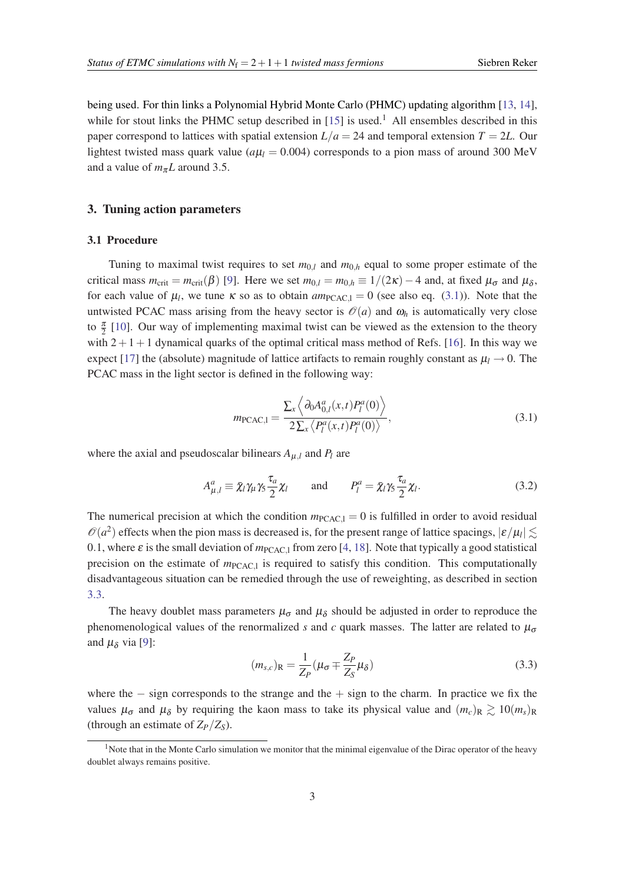<span id="page-2-0"></span>being used. For thin links a Polynomial Hybrid Monte Carlo (PHMC) updating algorithm [\[13](#page-6-0), [14\]](#page-6-0), while for stout links the PHMC setup described in  $[15]$  $[15]$  is used.<sup>1</sup> All ensembles described in this paper correspond to lattices with spatial extension  $L/a = 24$  and temporal extension  $T = 2L$ . Our lightest twisted mass quark value ( $a\mu_l$  = 0.004) corresponds to a pion mass of around 300 MeV and a value of  $m_{\pi}L$  around 3.5.

## 3. Tuning action parameters

## 3.1 Procedure

Tuning to maximal twist requires to set  $m_{0,l}$  and  $m_{0,h}$  equal to some proper estimate of the critical mass  $m_{\text{crit}} = m_{\text{crit}}(\beta)$  [\[9\]](#page-6-0). Here we set  $m_{0,l} = m_{0,h} \equiv 1/(2\kappa) - 4$  and, at fixed  $\mu_{\sigma}$  and  $\mu_{\delta}$ , for each value of  $\mu_l$ , we tune  $\kappa$  so as to obtain  $am_{PCAC,l} = 0$  (see also eq. (3.1)). Note that the untwisted PCAC mass arising from the heavy sector is  $\mathcal{O}(a)$  and  $\omega_h$  is automatically very close to  $\frac{\pi}{2}$  [\[10](#page-6-0)]. Our way of implementing maximal twist can be viewed as the extension to the theory with  $2+1+1$  dynamical quarks of the optimal critical mass method of Refs. [[16\]](#page-6-0). In this way we expect [\[17\]](#page-6-0) the (absolute) magnitude of lattice artifacts to remain roughly constant as  $\mu_l \rightarrow 0$ . The PCAC mass in the light sector is defined in the following way:

$$
m_{\text{PCAC},1} = \frac{\sum_{x} \left\langle \partial_0 A_{0,l}^a(x,t) P_l^a(0) \right\rangle}{2 \sum_{x} \left\langle P_l^a(x,t) P_l^a(0) \right\rangle},
$$
(3.1)

where the axial and pseudoscalar bilinears  $A_{\mu,l}$  and  $P_l$  are

$$
A_{\mu,l}^a \equiv \bar{\chi}_l \gamma_\mu \gamma_5 \frac{\tau_a}{2} \chi_l \qquad \text{and} \qquad P_l^a = \bar{\chi}_l \gamma_5 \frac{\tau_a}{2} \chi_l. \tag{3.2}
$$

The numerical precision at which the condition  $m_{\text{PCAC},l} = 0$  is fulfilled in order to avoid residual  $\mathcal{O}(a^2)$  effects when the pion mass is decreased is, for the present range of lattice spacings,  $|\varepsilon/\mu_l| \lesssim$ 0.1, where  $\varepsilon$  is the small deviation of  $m_{\text{PCAC1}}$  from zero [[4](#page-6-0), [18\]](#page-6-0). Note that typically a good statistical precision on the estimate of  $m_{\text{PCAC},l}$  is required to satisfy this condition. This computationally disadvantageous situation can be remedied through the use of reweighting, as described in section [3.3.](#page-3-0)

The heavy doublet mass parameters  $\mu_{\sigma}$  and  $\mu_{\delta}$  should be adjusted in order to reproduce the phenomenological values of the renormalized *s* and *c* quark masses. The latter are related to  $\mu_{\sigma}$ and  $\mu_{\delta}$  via [\[9\]](#page-6-0):

$$
(m_{s,c})_{\mathcal{R}} = \frac{1}{Z_P} (\mu_{\sigma} \mp \frac{Z_P}{Z_S} \mu_{\delta})
$$
\n(3.3)

where the  $-$  sign corresponds to the strange and the  $+$  sign to the charm. In practice we fix the values  $\mu_{\sigma}$  and  $\mu_{\delta}$  by requiring the kaon mass to take its physical value and  $(m_c)_R \gtrsim 10(m_s)_R$ (through an estimate of  $Z_P/Z_S$ ).

<sup>&</sup>lt;sup>1</sup>Note that in the Monte Carlo simulation we monitor that the minimal eigenvalue of the Dirac operator of the heavy doublet always remains positive.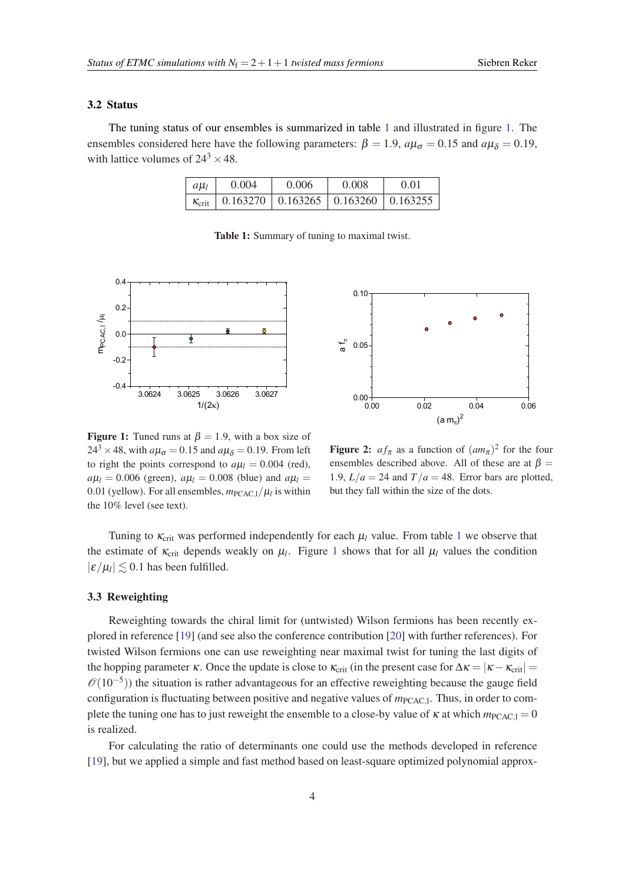## <span id="page-3-0"></span>3.2 Status

The tuning status of our ensembles is summarized in table 1 and illustrated in figure 1. The ensembles considered here have the following parameters:  $\beta = 1.9$ ,  $a\mu_{\sigma} = 0.15$  and  $a\mu_{\delta} = 0.19$ , with lattice volumes of  $24^3 \times 48$ .

| $ a\mu_l$ | 0.004                                                              | 0.006 | 0.008 | 0.01 |
|-----------|--------------------------------------------------------------------|-------|-------|------|
|           | $\kappa_{\text{crit}}$   0.163270   0.163265   0.163260   0.163255 |       |       |      |

Table 1: Summary of tuning to maximal twist.



**Figure 1:** Tuned runs at  $\beta = 1.9$ , with a box size of  $24^3 \times 48$ , with  $a\mu_{\sigma} = 0.15$  and  $a\mu_{\delta} = 0.19$ . From left to right the points correspond to  $a\mu_l = 0.004$  (red),  $a\mu_l = 0.006$  (green),  $a\mu_l = 0.008$  (blue) and  $a\mu_l =$ 0.01 (yellow). For all ensembles,  $m_{\text{PCAC},l}/\mu_l$  is within the 10% level (see text).



**Figure 2:**  $af_{\pi}$  as a function of  $(am_{\pi})^2$  for the four ensembles described above. All of these are at  $\beta =$ 1.9,  $L/a = 24$  and  $T/a = 48$ . Error bars are plotted, but they fall within the size of the dots.

Tuning to  $\kappa_{\text{crit}}$  was performed independently for each  $\mu_l$  value. From table 1 we observe that the estimate of  $\kappa_{\rm crit}$  depends weakly on  $\mu_l$ . Figure 1 shows that for all  $\mu_l$  values the condition  $|\varepsilon/\mu_l| \lesssim 0.1$  has been fulfilled.

#### 3.3 Reweighting

Reweighting towards the chiral limit for (untwisted) Wilson fermions has been recently explored in reference [\[19](#page-6-0)] (and see also the conference contribution [[20](#page-6-0)] with further references). For twisted Wilson fermions one can use reweighting near maximal twist for tuning the last digits of the hopping parameter  $\kappa$ . Once the update is close to  $\kappa_{\rm crit}$  (in the present case for  $\Delta \kappa = |\kappa - \kappa_{\rm crit}| =$  $\mathcal{O}(10^{-5})$ ) the situation is rather advantageous for an effective reweighting because the gauge field configuration is fluctuating between positive and negative values of  $m_{\text{PCAC},l}$ . Thus, in order to complete the tuning one has to just reweight the ensemble to a close-by value of  $\kappa$  at which  $m_{\text{PCAC,1}} = 0$ is realized.

For calculating the ratio of determinants one could use the methods developed in reference [[19\]](#page-6-0), but we applied a simple and fast method based on least-square optimized polynomial approx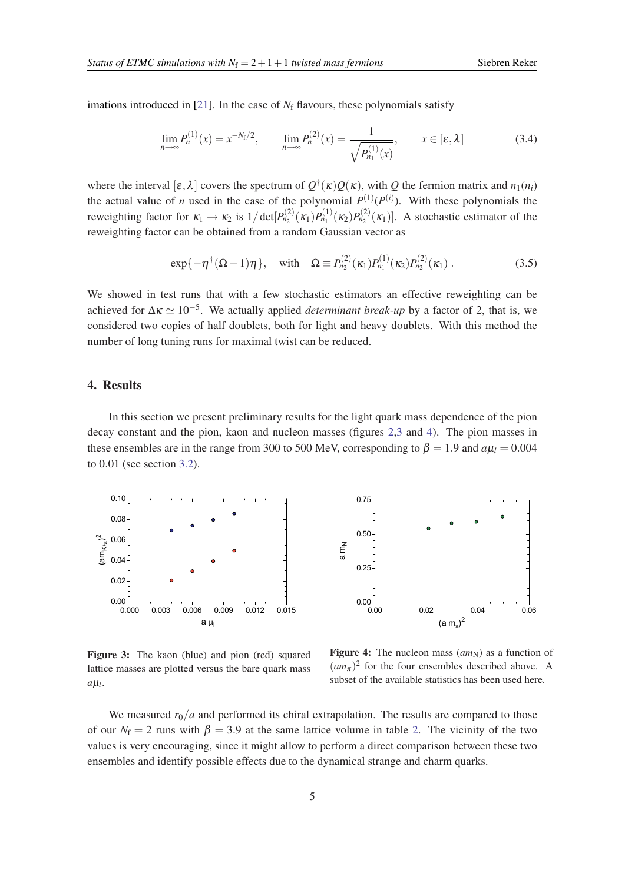<span id="page-4-0"></span>imations introduced in [[21\]](#page-6-0). In the case of  $N_f$  flavours, these polynomials satisfy

$$
\lim_{n \to \infty} P_n^{(1)}(x) = x^{-N_f/2}, \qquad \lim_{n \to \infty} P_n^{(2)}(x) = \frac{1}{\sqrt{P_{n_1}^{(1)}(x)}}, \qquad x \in [\varepsilon, \lambda]
$$
\n(3.4)

where the interval  $[\varepsilon, \lambda]$  covers the spectrum of  $Q^{\dagger}(\kappa)Q(\kappa)$ , with *Q* the fermion matrix and  $n_1(n_i)$ the actual value of *n* used in the case of the polynomial  $P^{(1)}(P^{(i)})$ . With these polynomials the reweighting factor for  $\kappa_1 \to \kappa_2$  is  $1/\det[P_{n_2}^{(2)}(\kappa_1)P_{n_1}^{(1)}(\kappa_2)P_{n_2}^{(2)}(\kappa_1)].$  A stochastic estimator of the reweighting factor can be obtained from a random Gaussian vector as

$$
\exp\{-\eta^{\dagger}(\Omega-1)\eta\}, \quad \text{with} \quad \Omega \equiv P_{n_2}^{(2)}(\kappa_1)P_{n_1}^{(1)}(\kappa_2)P_{n_2}^{(2)}(\kappa_1) \,. \tag{3.5}
$$

We showed in test runs that with a few stochastic estimators an effective reweighting can be achieved for  $\Delta \kappa \simeq 10^{-5}$ . We actually applied *determinant break-up* by a factor of 2, that is, we considered two copies of half doublets, both for light and heavy doublets. With this method the number of long tuning runs for maximal twist can be reduced.

## 4. Results

In this section we present preliminary results for the light quark mass dependence of the pion decay constant and the pion, kaon and nucleon masses (figures [2](#page-3-0),3 and 4). The pion masses in these ensembles are in the range from 300 to 500 MeV, corresponding to  $\beta = 1.9$  and  $a\mu_l = 0.004$ to 0.01 (see section [3.2](#page-3-0)).





Figure 3: The kaon (blue) and pion (red) squared lattice masses are plotted versus the bare quark mass  $a\mu$ <sub>*l*</sub>.

Figure 4: The nucleon mass  $(am_N)$  as a function of  $(am_\pi)^2$  for the four ensembles described above. A subset of the available statistics has been used here.

We measured  $r_0/a$  and performed its chiral extrapolation. The results are compared to those of our  $N_f = 2$  $N_f = 2$  runs with  $\beta = 3.9$  at the same lattice volume in table 2. The vicinity of the two values is very encouraging, since it might allow to perform a direct comparison between these two ensembles and identify possible effects due to the dynamical strange and charm quarks.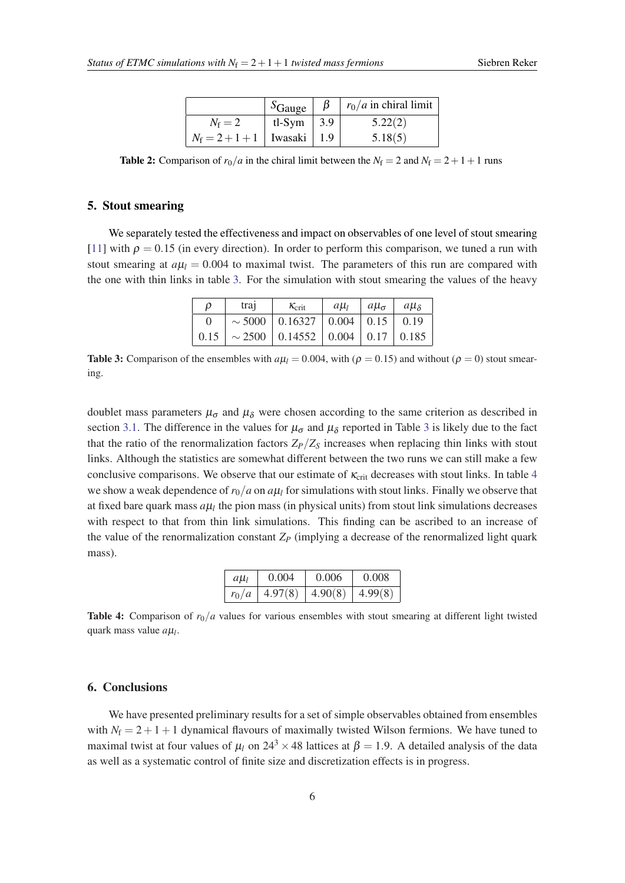|                                   | $S_{\text{Gauge}}$       | $\beta$ | $\mid r_0/a$ in chiral limit |
|-----------------------------------|--------------------------|---------|------------------------------|
| $N_f=2$                           | tl-Sym $\vert 3.9 \vert$ |         | 5.22(2)                      |
| $N_f = 2 + 1 + 1$   Iwasaki   1.9 |                          |         | 5.18(5)                      |

<span id="page-5-0"></span>**Table 2:** Comparison of  $r_0/a$  in the chiral limit between the  $N_f = 2$  and  $N_f = 2 + 1 + 1$  runs

## 5. Stout smearing

We separately tested the effectiveness and impact on observables of one level of stout smearing [[11\]](#page-6-0) with  $\rho = 0.15$  (in every direction). In order to perform this comparison, we tuned a run with stout smearing at  $a\mu_l = 0.004$  to maximal twist. The parameters of this run are compared with the one with thin links in table 3. For the simulation with stout smearing the values of the heavy

| D    | tra <sub>1</sub> | $K_{\text{crit}}$                            | $a\mu_l$ | $ a\mu_{\sigma} $ | $a\mu_{\delta}$ |
|------|------------------|----------------------------------------------|----------|-------------------|-----------------|
|      |                  | $\sim$ 5000   0.16327   0.004   0.15   0.19  |          |                   |                 |
| 0.15 |                  | $\sim$ 2500   0.14552   0.004   0.17   0.185 |          |                   |                 |

**Table 3:** Comparison of the ensembles with  $a\mu_l = 0.004$ , with ( $\rho = 0.15$ ) and without ( $\rho = 0$ ) stout smearing.

doublet mass parameters  $\mu_{\sigma}$  and  $\mu_{\delta}$  were chosen according to the same criterion as described in section [3.1.](#page-2-0) The difference in the values for  $\mu_{\sigma}$  and  $\mu_{\delta}$  reported in Table 3 is likely due to the fact that the ratio of the renormalization factors  $Z_P/Z_S$  increases when replacing thin links with stout links. Although the statistics are somewhat different between the two runs we can still make a few conclusive comparisons. We observe that our estimate of  $\kappa_{\rm crit}$  decreases with stout links. In table 4 we show a weak dependence of  $r_0/a$  on  $a\mu_l$  for simulations with stout links. Finally we observe that at fixed bare quark mass  $a\mu_l$  the pion mass (in physical units) from stout link simulations decreases with respect to that from thin link simulations. This finding can be ascribed to an increase of the value of the renormalization constant  $Z_P$  (implying a decrease of the renormalized light quark mass).

| $a\mu$  | 0.004   | 0.006   | 0.008   |
|---------|---------|---------|---------|
| $r_0/a$ | 4.97(8) | 4.90(8) | 4.99(8) |

**Table 4:** Comparison of  $r_0/a$  values for various ensembles with stout smearing at different light twisted quark mass value *a*µ*<sup>l</sup>* .

## 6. Conclusions

We have presented preliminary results for a set of simple observables obtained from ensembles with  $N_f = 2 + 1 + 1$  dynamical flavours of maximally twisted Wilson fermions. We have tuned to maximal twist at four values of  $\mu_l$  on  $24^3 \times 48$  lattices at  $\beta = 1.9$ . A detailed analysis of the data as well as a systematic control of finite size and discretization effects is in progress.